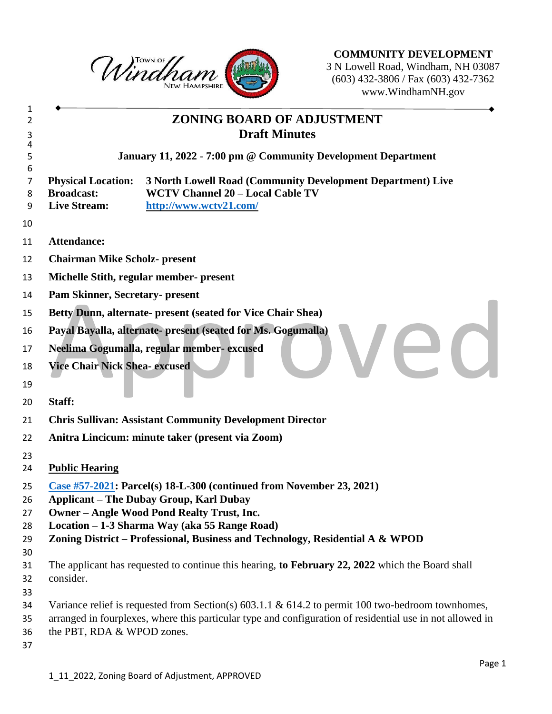

**COMMUNITY DEVELOPMENT** N Lowell Road, Windham, NH 03087 (603) 432-3806 / Fax (603) 432-7362 www.WindhamNH.gov

|                                                                                                                                                                                                                   | ZONING BOARD OF ADJUSTMENT<br><b>Draft Minutes</b>                                                                               |
|-------------------------------------------------------------------------------------------------------------------------------------------------------------------------------------------------------------------|----------------------------------------------------------------------------------------------------------------------------------|
|                                                                                                                                                                                                                   | January 11, 2022 - 7:00 pm @ Community Development Department                                                                    |
| <b>Physical Location:</b><br><b>Broadcast:</b><br><b>Live Stream:</b>                                                                                                                                             | 3 North Lowell Road (Community Development Department) Live<br><b>WCTV Channel 20 - Local Cable TV</b><br>http://www.wctv21.com/ |
| <b>Attendance:</b>                                                                                                                                                                                                |                                                                                                                                  |
| <b>Chairman Mike Scholz- present</b>                                                                                                                                                                              |                                                                                                                                  |
|                                                                                                                                                                                                                   | Michelle Stith, regular member- present                                                                                          |
| Pam Skinner, Secretary- present                                                                                                                                                                                   |                                                                                                                                  |
|                                                                                                                                                                                                                   | Betty Dunn, alternate- present (seated for Vice Chair Shea)                                                                      |
|                                                                                                                                                                                                                   | Payal Bayalla, alternate- present (seated for Ms. Gogumalla)                                                                     |
|                                                                                                                                                                                                                   | Neelima Gogumalla, regular member-excused                                                                                        |
| <b>Vice Chair Nick Shea- excused</b>                                                                                                                                                                              | $\blacksquare$                                                                                                                   |
|                                                                                                                                                                                                                   |                                                                                                                                  |
| Staff:                                                                                                                                                                                                            |                                                                                                                                  |
|                                                                                                                                                                                                                   | <b>Chris Sullivan: Assistant Community Development Director</b>                                                                  |
|                                                                                                                                                                                                                   | Anitra Lincicum: minute taker (present via Zoom)                                                                                 |
|                                                                                                                                                                                                                   |                                                                                                                                  |
| <b>Public Hearing</b>                                                                                                                                                                                             |                                                                                                                                  |
|                                                                                                                                                                                                                   | Case #57-2021: Parcel(s) $18-L-300$ (continued from November 23, 2021)                                                           |
|                                                                                                                                                                                                                   | <b>Applicant – The Dubay Group, Karl Dubay</b>                                                                                   |
|                                                                                                                                                                                                                   | <b>Owner - Angle Wood Pond Realty Trust, Inc.</b><br>Location - 1-3 Sharma Way (aka 55 Range Road)                               |
|                                                                                                                                                                                                                   | Zoning District - Professional, Business and Technology, Residential A & WPOD                                                    |
|                                                                                                                                                                                                                   |                                                                                                                                  |
|                                                                                                                                                                                                                   | The applicant has requested to continue this hearing, to February 22, 2022 which the Board shall                                 |
| consider.                                                                                                                                                                                                         |                                                                                                                                  |
|                                                                                                                                                                                                                   |                                                                                                                                  |
| Variance relief is requested from Section(s) $603.1.1 \& 614.2$ to permit 100 two-bedroom townhomes,<br>arranged in fourplexes, where this particular type and configuration of residential use in not allowed in |                                                                                                                                  |
| the PBT, RDA & WPOD zones.                                                                                                                                                                                        |                                                                                                                                  |
|                                                                                                                                                                                                                   |                                                                                                                                  |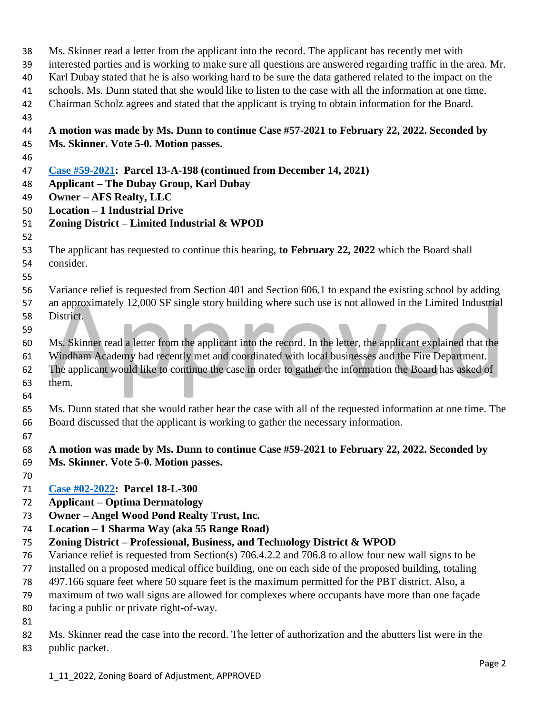| 38 | Ms. Skinner read a letter from the applicant into the record. The applicant has recently met with             |
|----|---------------------------------------------------------------------------------------------------------------|
| 39 | interested parties and is working to make sure all questions are answered regarding traffic in the area. Mr.  |
| 40 | Karl Dubay stated that he is also working hard to be sure the data gathered related to the impact on the      |
| 41 | schools. Ms. Dunn stated that she would like to listen to the case with all the information at one time.      |
| 42 | Chairman Scholz agrees and stated that the applicant is trying to obtain information for the Board.           |
| 43 |                                                                                                               |
| 44 | A motion was made by Ms. Dunn to continue Case #57-2021 to February 22, 2022. Seconded by                     |
| 45 | Ms. Skinner. Vote 5-0. Motion passes.                                                                         |
| 46 |                                                                                                               |
| 47 | Case #59-2021: Parcel 13-A-198 (continued from December 14, 2021)                                             |
| 48 | <b>Applicant – The Dubay Group, Karl Dubay</b>                                                                |
| 49 | <b>Owner - AFS Realty, LLC</b>                                                                                |
| 50 | <b>Location - 1 Industrial Drive</b>                                                                          |
| 51 | Zoning District - Limited Industrial & WPOD                                                                   |
| 52 |                                                                                                               |
| 53 | The applicant has requested to continue this hearing, to February 22, 2022 which the Board shall              |
| 54 | consider.                                                                                                     |
| 55 |                                                                                                               |
| 56 | Variance relief is requested from Section 401 and Section 606.1 to expand the existing school by adding       |
| 57 | an approximately 12,000 SF single story building where such use is not allowed in the Limited Industrial      |
| 58 | District.                                                                                                     |
| 59 |                                                                                                               |
| 60 | Ms. Skinner read a letter from the applicant into the record. In the letter, the applicant explained that the |
| 61 | Windham Academy had recently met and coordinated with local businesses and the Fire Department.               |
| 62 | The applicant would like to continue the case in order to gather the information the Board has asked of       |
| 63 | them.                                                                                                         |
| 64 |                                                                                                               |
| 65 | Ms. Dunn stated that she would rather hear the case with all of the requested information at one time. The    |
| 66 | Board discussed that the applicant is working to gather the necessary information.                            |
| 67 |                                                                                                               |
| 68 | A motion was made by Ms. Dunn to continue Case #59-2021 to February 22, 2022. Seconded by                     |
| 69 | Ms. Skinner. Vote 5-0. Motion passes.                                                                         |
| 70 |                                                                                                               |
| 71 | Case #02-2022: Parcel 18-L-300                                                                                |
| 72 | <b>Applicant – Optima Dermatology</b>                                                                         |
| 73 | <b>Owner - Angel Wood Pond Realty Trust, Inc.</b>                                                             |
| 74 | Location - 1 Sharma Way (aka 55 Range Road)                                                                   |
| 75 | Zoning District - Professional, Business, and Technology District & WPOD                                      |
| 76 | Variance relief is requested from Section(s) 706.4.2.2 and 706.8 to allow four new wall signs to be           |
| 77 | installed on a proposed medical office building, one on each side of the proposed building, totaling          |
| 78 | 497.166 square feet where 50 square feet is the maximum permitted for the PBT district. Also, a               |
| 79 | maximum of two wall signs are allowed for complexes where occupants have more than one façade                 |
| 80 | facing a public or private right-of-way.                                                                      |
| 81 |                                                                                                               |
| 82 | Ms. Skinner read the case into the record. The letter of authorization and the abutters list were in the      |

public packet.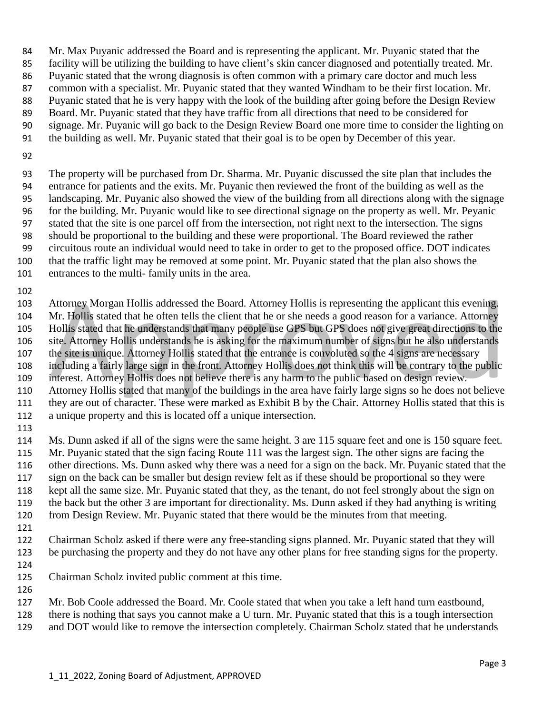- Mr. Max Puyanic addressed the Board and is representing the applicant. Mr. Puyanic stated that the
- facility will be utilizing the building to have client's skin cancer diagnosed and potentially treated. Mr.
- Puyanic stated that the wrong diagnosis is often common with a primary care doctor and much less
- common with a specialist. Mr. Puyanic stated that they wanted Windham to be their first location. Mr.
- Puyanic stated that he is very happy with the look of the building after going before the Design Review
- Board. Mr. Puyanic stated that they have traffic from all directions that need to be considered for
- signage. Mr. Puyanic will go back to the Design Review Board one more time to consider the lighting on
- the building as well. Mr. Puyanic stated that their goal is to be open by December of this year.
- 

 The property will be purchased from Dr. Sharma. Mr. Puyanic discussed the site plan that includes the entrance for patients and the exits. Mr. Puyanic then reviewed the front of the building as well as the landscaping. Mr. Puyanic also showed the view of the building from all directions along with the signage for the building. Mr. Puyanic would like to see directional signage on the property as well. Mr. Peyanic stated that the site is one parcel off from the intersection, not right next to the intersection. The signs should be proportional to the building and these were proportional. The Board reviewed the rather circuitous route an individual would need to take in order to get to the proposed office. DOT indicates that the traffic light may be removed at some point. Mr. Puyanic stated that the plan also shows the entrances to the multi- family units in the area.

 Attorney Morgan Hollis addressed the Board. Attorney Hollis is representing the applicant this evening. Mr. Hollis stated that he often tells the client that he or she needs a good reason for a variance. Attorney Hollis stated that he understands that many people use GPS but GPS does not give great directions to the site. Attorney Hollis understands he is asking for the maximum number of signs but he also understands the site is unique. Attorney Hollis stated that the entrance is convoluted so the 4 signs are necessary including a fairly large sign in the front. Attorney Hollis does not think this will be contrary to the public interest. Attorney Hollis does not believe there is any harm to the public based on design review. Attorney Hollis stated that many of the buildings in the area have fairly large signs so he does not believe they are out of character. These were marked as Exhibit B by the Chair. Attorney Hollis stated that this is a unique property and this is located off a unique intersection. 

 Ms. Dunn asked if all of the signs were the same height. 3 are 115 square feet and one is 150 square feet. Mr. Puyanic stated that the sign facing Route 111 was the largest sign. The other signs are facing the other directions. Ms. Dunn asked why there was a need for a sign on the back. Mr. Puyanic stated that the sign on the back can be smaller but design review felt as if these should be proportional so they were kept all the same size. Mr. Puyanic stated that they, as the tenant, do not feel strongly about the sign on the back but the other 3 are important for directionality. Ms. Dunn asked if they had anything is writing 120 from Design Review. Mr. Puyanic stated that there would be the minutes from that meeting.

 Chairman Scholz asked if there were any free-standing signs planned. Mr. Puyanic stated that they will be purchasing the property and they do not have any other plans for free standing signs for the property.

Chairman Scholz invited public comment at this time.

- Mr. Bob Coole addressed the Board. Mr. Coole stated that when you take a left hand turn eastbound,
- there is nothing that says you cannot make a U turn. Mr. Puyanic stated that this is a tough intersection
- and DOT would like to remove the intersection completely. Chairman Scholz stated that he understands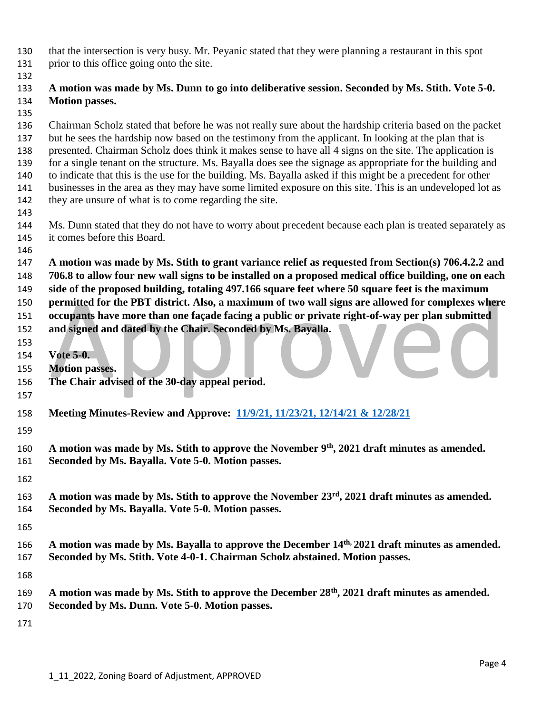that the intersection is very busy. Mr. Peyanic stated that they were planning a restaurant in this spot prior to this office going onto the site.

## **A motion was made by Ms. Dunn to go into deliberative session. Seconded by Ms. Stith. Vote 5-0. Motion passes.**

 Chairman Scholz stated that before he was not really sure about the hardship criteria based on the packet but he sees the hardship now based on the testimony from the applicant. In looking at the plan that is presented. Chairman Scholz does think it makes sense to have all 4 signs on the site. The application is for a single tenant on the structure. Ms. Bayalla does see the signage as appropriate for the building and to indicate that this is the use for the building. Ms. Bayalla asked if this might be a precedent for other businesses in the area as they may have some limited exposure on this site. This is an undeveloped lot as they are unsure of what is to come regarding the site.

- Ms. Dunn stated that they do not have to worry about precedent because each plan is treated separately as it comes before this Board.
- 

 **A motion was made by Ms. Stith to grant variance relief as requested from Section(s) 706.4.2.2 and 706.8 to allow four new wall signs to be installed on a proposed medical office building, one on each side of the proposed building, totaling 497.166 square feet where 50 square feet is the maximum** 

 **permitted for the PBT district. Also, a maximum of two wall signs are allowed for complexes where occupants have more than one façade facing a public or private right-of-way per plan submitted** 

**and signed and dated by the Chair. Seconded by Ms. Bayalla.**

- **Vote 5-0.**
- **Motion passes.**
- **The Chair advised of the 30-day appeal period.**
- 
- **Meeting Minutes-Review and Approve: [11/9/21, 11/23/21,](https://nh-windham.civicplus.com/DocumentCenter/Index/831) 12/14/21 & 12/28/21**
- 

**A motion was made by Ms. Stith to approve the November 9th , 2021 draft minutes as amended. Seconded by Ms. Bayalla. Vote 5-0. Motion passes.**

- 
- 163 A motion was made by Ms. Stith to approve the November 23<sup>rd</sup>, 2021 draft minutes as amended. **Seconded by Ms. Bayalla. Vote 5-0. Motion passes.**
- 
- **A motion was made by Ms. Bayalla to approve the December 14th, 2021 draft minutes as amended. Seconded by Ms. Stith. Vote 4-0-1. Chairman Scholz abstained. Motion passes.**
- 
- **A motion was made by Ms. Stith to approve the December 28th , 2021 draft minutes as amended.**
- **Seconded by Ms. Dunn. Vote 5-0. Motion passes.**
-